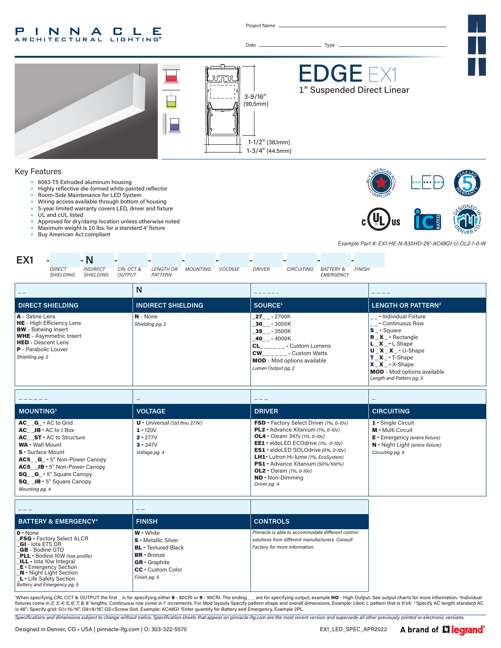#### INNA  $\mathbb{L}$ P. **C** Е LIGHTING® **ARCHITECTURAL**

Project Name



| MOUNTING <sup>3</sup>                                                                                                                                                                                                                                                                               | <b>VOLTAGE</b>                                                                             | <b>DRIVER</b>                                                                                                                                                                                                                                                                                                                                                                                            | <b>CIRCUITING</b>                                                                                                                               |
|-----------------------------------------------------------------------------------------------------------------------------------------------------------------------------------------------------------------------------------------------------------------------------------------------------|--------------------------------------------------------------------------------------------|----------------------------------------------------------------------------------------------------------------------------------------------------------------------------------------------------------------------------------------------------------------------------------------------------------------------------------------------------------------------------------------------------------|-------------------------------------------------------------------------------------------------------------------------------------------------|
| AC G - AC to Grid<br>$AC$ $JB - AC$ to $J$ Box<br><b>AC</b> ST - AC to Structure<br><b>WA</b> - Wall Mount<br>S - Surface Mount<br><b>AC5 G</b> - 5" Non-Power Canopy<br><b>AC5</b> JB - 5" Non-Power Canopy<br><b>SQ G</b> - 5" Square Canopy<br><b>SQ</b> JB - 5" Square Canopy<br>Mounting pg. 4 | $U -$ Universal (120 thru 277V)<br>$1 - 120V$<br>$2 - 277V$<br>$3 - 347V$<br>Voltage pg. 4 | <b>FSD</b> - Factory Select Driver (1%, 0-10v)<br>PL2 - Advance Xitanium (1%, 0-10v)<br><b>OL4</b> - Osram 347 $v$ (1%, 0-10 $v$ )<br><b>EE1</b> - eldoLED ECOdrive $(1\%$ , $0-10\nu)$<br><b>ES1</b> - eldoLED SOLOdrive (0%, 0-10v)<br><b>LH1-</b> Lutron Hi-lume (1%, EcoSystem)<br>PS1 - Advance Xitanium (50%/100%)<br><b>OL2</b> - Osram $(1\%, 0-10v)$<br><b>ND</b> - Non-Dimmina<br>Driver pg. 4 | 1 - Single Circuit<br><b>M</b> - Multi Circuit<br><b>E</b> - Emergency (entire fixture)<br>N - Night Light (entire fixture)<br>Circuiting pg. 5 |

| <b>BATTERY &amp; EMERGENCY<sup>4</sup></b>                                                                                                                                                                                                                                                                 | <b>FINISH</b>                                                                                                                                                          | <b>CONTROLS</b>                                                                                                                       |
|------------------------------------------------------------------------------------------------------------------------------------------------------------------------------------------------------------------------------------------------------------------------------------------------------------|------------------------------------------------------------------------------------------------------------------------------------------------------------------------|---------------------------------------------------------------------------------------------------------------------------------------|
| $0 - None$<br><b>FSG</b> - Factory Select ALCR<br><b>GI</b> - lota ETS DR<br><b>GB</b> - Bodine GTD<br><b>PLL</b> - Bodine 10W (low profile)<br><b>ILL</b> - lota 10w Integral<br><b>E</b> - Emergency Section<br><b>N</b> - Night Light Section<br>L - Life Safety Section<br>Battery and Emergency pg. 5 | <b>W</b> - White<br><b>S</b> - Metallic Silver<br><b>BL</b> - Textured Black<br><b>BR</b> - Bronze<br><b>GR</b> - Graphite<br><b>CC</b> - Custom Color<br>Finish pg. 5 | Pinnacle is able to accommodate different control<br>solutions from different manufacturers. Consult<br>Factory for more information. |

'When specifying CRI, CCT & OUTPUT the first \_ is for specifying either 8 - 80CRI or 9 - 90CRI. The ending \_ \_ are for specifying output, example **HO** - High Output. See output charts for more information. <sup>2</sup>Individual<br>fi is 48"; Specify grid: G1=15/16", G9=9/16", GS=Screw Slot. Example: AC48G1 4 Enter quantity for Battery and Emergency, Example 2PL.

*Specifications and dimensions subject to change without notice. Specification sheets that appear on pinnacle-ltg.com are the most recent version and supersede all other previously printed or electronic versions.*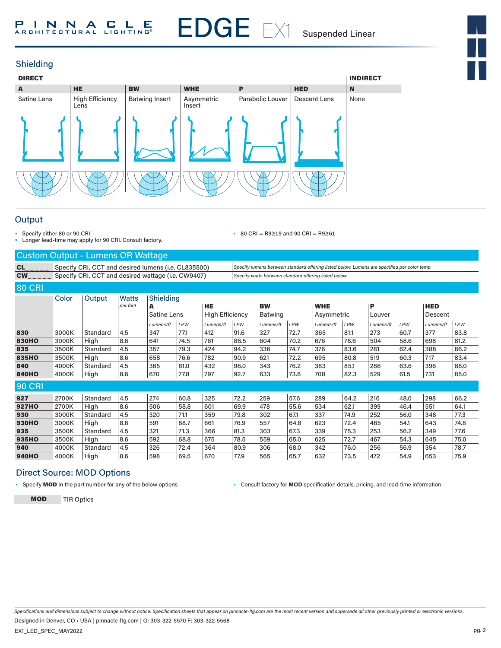

# Shielding



# **Output**

- Specify either 80 or 90 CRI
- Longer lead-time may apply for 90 CRI. Consult factory.

• 80 CRI = R9≥19 and 90 CRI = R9≥61

#### Custom Output - Lumens OR Wattage

CL\_\_\_\_\_\_ Specify CRI, CCT and desired lumens (i.e. CL835500) *Specify lumens between standard offering listed below. Lumens are specified per color temp*<br>CW\_\_\_\_\_\_\_Specify CRI, CCT and desired wattage (i.e. CW9407) *Specify* Specify CRI, CCT and desired wattage (i.e. CW9407) *Specify watts between standard offering listed below* 

| <b>80 CRI</b> |       |          |                          |                |            |                        |      |                |            |            |            |           |            |            |            |
|---------------|-------|----------|--------------------------|----------------|------------|------------------------|------|----------------|------------|------------|------------|-----------|------------|------------|------------|
|               | Color | Output   | <b>Watts</b><br>per foot | Shielding<br>A |            | <b>HE</b>              |      | <b>BW</b>      |            | <b>WHE</b> |            | P         |            | <b>HED</b> |            |
|               |       |          |                          | Satine Lens    |            | <b>High Efficiency</b> |      | <b>Batwing</b> |            | Asymmetric |            | Louver    |            | Descent    |            |
|               |       |          |                          | Lumens/ft      | <b>LPW</b> | Lumens/ft              | LPW  | Lumens/ft      | <b>LPW</b> | Lumens/ft  | <b>LPW</b> | Lumens/ft | <b>LPW</b> | Lumens/ft  | <b>LPW</b> |
| 830           | 3000K | Standard | 4.5                      | 347            | 77.1       | 412                    | 91.6 | 327            | 72.7       | 365        | 81.1       | 273       | 60.7       | 377        | 83.8       |
| <b>830HO</b>  | 3000K | High     | 8.6                      | 641            | 74.5       | 761                    | 88.5 | 604            | 70.2       | 676        | 78.6       | 504       | 58.6       | 698        | 81.2       |
| 835           | 3500K | Standard | 4.5                      | 357            | 79.3       | 424                    | 94.2 | 336            | 74.7       | 376        | 83.6       | 281       | 62.4       | 388        | 86.2       |
| 835HO         | 3500K | High     | 8.6                      | 658            | 76.6       | 782                    | 90.9 | 621            | 72.2       | 695        | 80.8       | 519       | 60.3       | 717        | 83.4       |
| 840           | 4000K | Standard | 4.5                      | 365            | 81.0       | 432                    | 96.0 | 343            | 76.2       | 383        | 85.1       | 286       | 63.6       | 396        | 88.0       |
| <b>840HO</b>  | 4000K | High     | 8.6                      | 670            | 77.8       | 797                    | 92.7 | 633            | 73.6       | 708        | 82.3       | 529       | 61.5       | 731        | 85.0       |
| <b>90 CRI</b> |       |          |                          |                |            |                        |      |                |            |            |            |           |            |            |            |
| 927           | 2700K | Standard | 4.5                      | 274            | 60.8       | 325                    | 72.2 | 259            | 57.6       | 289        | 64.2       | 216       | 48.0       | 298        | 66.2       |
| <b>927HO</b>  | 2700K | High     | 8.6                      | 506            | 58.8       | 601                    | 69.9 | 478            | 55.6       | 534        | 62.1       | 399       | 46.4       | 551        | 64.1       |
| 930           | 3000K | Standard | 4.5                      | 320            | 71.1       | 359                    | 79.8 | 302            | 67.1       | 337        | 74.9       | 252       | 56.0       | 348        | 77.3       |
| <b>930HO</b>  | 3000K | High     | 8.6                      | 591            | 68.7       | 661                    | 76.9 | 557            | 64.8       | 623        | 72.4       | 465       | 54.1       | 643        | 74.8       |
| 935           | 3500K | Standard | 4.5                      | 321            | 71.3       | 366                    | 81.3 | 303            | 67.3       | 339        | 75.3       | 253       | 56.2       | 349        | 77.6       |
| 935HO         | 3500K | High     | 8.6                      | 592            | 68.8       | 675                    | 78.5 | 559            | 65.0       | 625        | 72.7       | 467       | 54.3       | 645        | 75.0       |
| 940           | 4000K | Standard | 4.5                      | 326            | 72.4       | 364                    | 80.9 | 306            | 68.0       | 342        | 76.0       | 256       | 56.9       | 354        | 78.7       |
| <b>940HO</b>  | 4000K | High     | 8.6                      | 598            | 69.5       | 670                    | 77.9 | 565            | 65.7       | 632        | 73.5       | 472       | 54.9       | 653        | 75.9       |

## Direct Source: MOD Options

• Specify **MOD** in the part number for any of the below options **•** Consult factory for **MOD** specification details, pricing, and lead-time information

MOD TIR Optics

*Specifications and dimensions subject to change without notice. Specification sheets that appear on pinnacle-ltg.com are the most recent version and supersede all other previously printed or electronic versions.*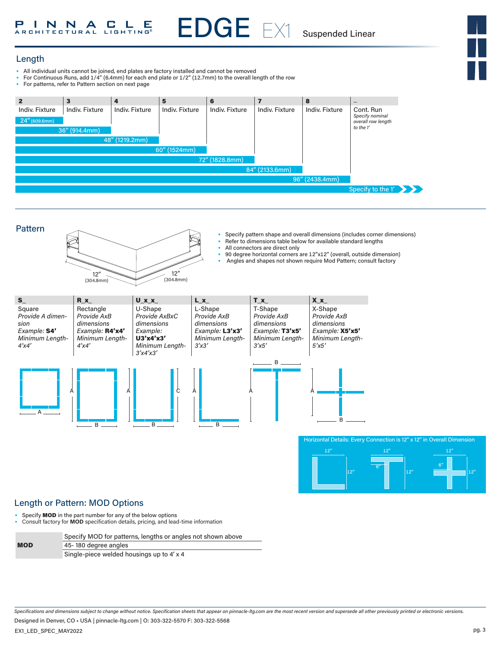# P I N N A C L E

EDGE EX1 Suspended Linear

# Length

- All individual units cannot be joined, end plates are factory installed and cannot be removed
- For Continuous Runs, add 1/4" (6.4mm) for each end plate or 1/2" (12.7mm) to the overall length of the row<br>• For patterns, refer to Pattern section on next page
- For patterns, refer to Pattern section on next page

| $\overline{2}$                | $\overline{\mathbf{3}}$ | $\overline{a}$ | 5                     | 6                     |                       | 8              | $\qquad \qquad$                       |  |
|-------------------------------|-------------------------|----------------|-----------------------|-----------------------|-----------------------|----------------|---------------------------------------|--|
| Indiv. Fixture                | <b>Indiv. Fixture</b>   | Indiv. Fixture | <b>Indiv. Fixture</b> | <b>Indiv. Fixture</b> | <b>Indiv. Fixture</b> | Indiv. Fixture | Cont. Run                             |  |
| $24^{\prime\prime}$ (609.6mm) |                         |                |                       |                       |                       |                | Specify nominal<br>overall row length |  |
|                               | 36" (914.4mm)           |                |                       |                       |                       |                | to the 1'                             |  |
|                               |                         | 48" (1219.2mm) |                       |                       |                       |                |                                       |  |
|                               |                         |                | 60" (1524mm)          |                       |                       |                |                                       |  |
| 72" (1828.8mm)                |                         |                |                       |                       |                       |                |                                       |  |
|                               |                         |                |                       |                       | 84" (2133.6mm)        |                |                                       |  |
|                               |                         |                |                       |                       |                       | 96" (2438.4mm) |                                       |  |
|                               |                         |                |                       |                       |                       |                | Specify to the $1'$                   |  |



# Length or Pattern: MOD Options

• Specify **MOD** in the part number for any of the below options

• Consult factory for **MOD** specification details, pricing, and lead-time information

Specify MOD for patterns, lengths or angles not shown above

MOD

| 45-180 degree angles                                                                                                                                                                                                             |  |  |
|----------------------------------------------------------------------------------------------------------------------------------------------------------------------------------------------------------------------------------|--|--|
| $\mathsf{C}^1$ . It is the set of the set of the set of the set of the set of the set of the set of the set of the set of the set of the set of the set of the set of the set of the set of the set of the set of the set of the |  |  |

Single-piece welded housings up to 4' x 4

*Specifications and dimensions subject to change without notice. Specification sheets that appear on pinnacle-ltg.com are the most recent version and supersede all other previously printed or electronic versions.*

Designed in Denver, CO • USA | pinnacle-ltg.com | O: 303-322-5570 F: 303-322-5568

EX1\_LED\_SPEC\_MAY2022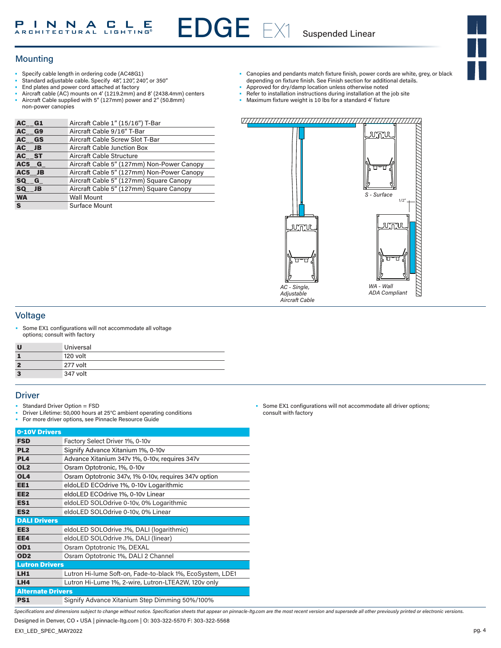# Mounting

- Specify cable length in ordering code (AC48G1)
- Standard adjustable cable. Specify 48", 120", 240", or 350"
- End plates and power cord attached at factory
- Aircraft cable (AC) mounts on 4' (1219.2mm) and 8' (2438.4mm) centers
- Aircraft Cable supplied with 5" (127mm) power and 2" (50.8mm) non-power canopies

| AC G1     | Aircraft Cable 1" (15/16") T-Bar           |
|-----------|--------------------------------------------|
| AC G9     | Aircraft Cable 9/16" T-Bar                 |
| AC GS     | Aircraft Cable Screw Slot T-Bar            |
| AC JB     | <b>Aircraft Cable Junction Box</b>         |
| AC ST     | Aircraft Cable Structure                   |
| AC5 G     | Aircraft Cable 5" (127mm) Non-Power Canopy |
| AC5 JB    | Aircraft Cable 5" (127mm) Non-Power Canopy |
| SQ G      | Aircraft Cable 5" (127mm) Square Canopy    |
| SQ JB     | Aircraft Cable 5" (127mm) Square Canopy    |
| <b>WA</b> | <b>Wall Mount</b>                          |
| S         | <b>Surface Mount</b>                       |

- Canopies and pendants match fixture finish, power cords are white, grey, or black depending on fixture finish. See Finish section for additional details. Approved for dry/damp location unless otherwise noted
- 
- Refer to installation instructions during installation at the job site
- Maximum fixture weight is 10 lbs for a standard 4' fixture

#### VI<u>IIIIIIIIIIIIIIIIIIIIIIIIIIIII</u>III



### Voltage

Some EX1 configurations will not accommodate all voltage options; consult with factory

| U              | Universal |
|----------------|-----------|
|                | 120 volt  |
| $\overline{2}$ | 277 volt  |
| 3              | 347 volt  |

#### **Driver**

- Standard Driver Option = FSD
- Driver Lifetime: 50,000 hours at 25°C ambient operating conditions
- For more driver options, see Pinnacle Resource Guide

| 0-10V Drivers            |                                                           |
|--------------------------|-----------------------------------------------------------|
| <b>FSD</b>               | Factory Select Driver 1%, 0-10v                           |
| PL <sub>2</sub>          | Signify Advance Xitanium 1%, 0-10v                        |
| PL <sub>4</sub>          | Advance Xitanium 347v 1%, 0-10v, requires 347v            |
| OL <sub>2</sub>          | Osram Optotronic, 1%, 0-10v                               |
| OL <sub>4</sub>          | Osram Optotronic 347v, 1% 0-10v, requires 347v option     |
| EE1                      | eldoLED ECOdrive 1%, 0-10v Logarithmic                    |
| EE <sub>2</sub>          | eldoLED ECOdrive 1%, 0-10v Linear                         |
| ES1                      | eldoLED SOLOdrive 0-10v, 0% Logarithmic                   |
| ES <sub>2</sub>          | eldoLED SOLOdrive 0-10v, 0% Linear                        |
| <b>DALI Drivers</b>      |                                                           |
| EE <sub>3</sub>          | eldoLED SOLOdrive .1%, DALI (logarithmic)                 |
| EE4                      | eldoLED SOLOdrive .1%, DALI (linear)                      |
| OD <sub>1</sub>          | Osram Optotronic 1%, DEXAL                                |
| OD <sub>2</sub>          | Osram Optotronic 1%, DALI 2 Channel                       |
| <b>Lutron Drivers</b>    |                                                           |
| LH <sub>1</sub>          | Lutron Hi-lume Soft-on, Fade-to-black 1%, EcoSystem, LDE1 |
| LH4                      | Lutron Hi-Lume 1%, 2-wire, Lutron-LTEA2W, 120v only       |
| <b>Alternate Drivers</b> |                                                           |
| PS1                      | Signify Advance Xitanium Step Dimming 50%/100%            |

Some EX1 configurations will not accommodate all driver options; consult with factory

*Specifications and dimensions subject to change without notice. Specification sheets that appear on pinnacle-ltg.com are the most recent version and supersede all other previously printed or electronic versions.*

Designed in Denver, CO • USA | pinnacle-ltg.com | O: 303-322-5570 F: 303-322-5568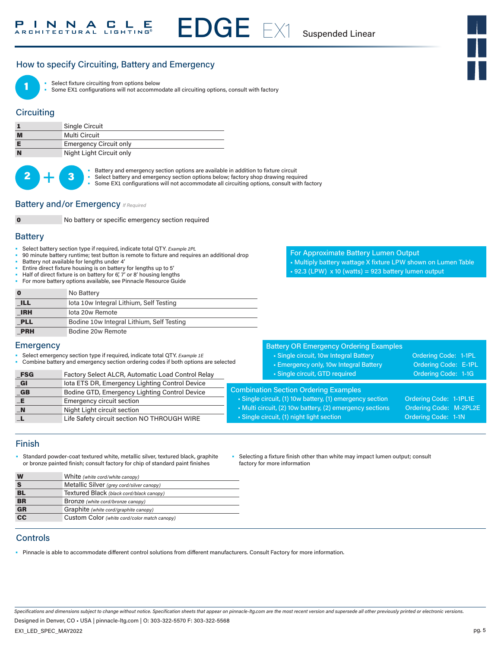# How to specify Circuiting, Battery and Emergency



Select fixture circuiting from options below

Some EX1 configurations will not accommodate all circuiting options, consult with factory

# **Circuiting**

|   | <b>Single Circuit</b>         |
|---|-------------------------------|
| M | Multi Circuit                 |
|   | <b>Emergency Circuit only</b> |
| N | Night Light Circuit only      |



Battery and emergency section options are available in addition to fixture circuit

Select battery and emergency section options below; factory shop drawing required

Some EX1 configurations will not accommodate all circuiting options, consult with factory

#### **Battery and/or Emergency** *If Required*



0 No battery or specific emergency section required

#### **Battery**

- Select battery section type if required, indicate total QTY*. Example 2PL*
- 90 minute battery runtime; test button is remote to fixture and requires an additional drop
- Battery not available for lengths under 4'

**E** Emergency circuit section \_N Night Light circuit section

- Entire direct fixture housing is on battery for lengths up to 5'
- Half of direct fixture is on battery for 6', 7' or 8' housing lengths • For more battery options available, see Pinnacle Resource Guide

|            | No Battery                                |
|------------|-------------------------------------------|
| <b>ILL</b> | lota 10w Integral Lithium, Self Testing   |
| <b>IRH</b> | lota 20w Remote                           |
| <b>PLL</b> | Bodine 10w Integral Lithium, Self Testing |
| <b>PRH</b> | Bodine 20w Remote                         |

For Approximate Battery Lumen Output • Multiply battery wattage X fixture LPW shown on Lumen Table  $\cdot$  92.3 (LPW) x 10 (watts) = 923 battery lumen output

#### Battery OR Emergency Ordering Examples • Single circuit, 10w Integral Battery **Ordering Code: 1-1PL** • Emergency only, 10w Integral Battery **Call Condering Code: E-1PL** • Single circuit, GTD required Code: 1-1G Combination Section Ordering Examples • Single circuit, (1) 10w battery, (1) emergency section Ordering Code: 1-1PL1E • Multi circuit, (2) 10w battery, (2) emergency sections Ordering Code: M-2PL2E • Single circuit, (1) night light section Context Context Code: 1-1N • Select emergency section type if required, indicate total QTY. *Example 1E* • Combine battery and emergency section ordering codes if both options are selected FSG Factory Select ALCR, Automatic Load Control Relay \_GI Iota ETS DR, Emergency Lighting Control Device GB Bodine GTD, Emergency Lighting Control Device

#### Finish

**Emergency** 

• Standard powder-coat textured white, metallic silver, textured black, graphite or bronze painted finish; consult factory for chip of standard paint finishes

L Life Safety circuit section NO THROUGH WIRE

• Selecting a fixture finish other than white may impact lumen output; consult factory for more information

| W               | White (white cord/white canopy)              |
|-----------------|----------------------------------------------|
|                 | Metallic Silver (grey cord/silver canopy)    |
| BL              | Textured Black (black cord/black canopy)     |
| <b>BR</b>       | Bronze (white cord/bronze canopy)            |
| <b>GR</b>       | Graphite (white cord/graphite canopy)        |
| $\overline{cc}$ | Custom Color (white cord/color match canopy) |

### **Controls**

• Pinnacle is able to accommodate different control solutions from different manufacturers. Consult Factory for more information.

*Specifications and dimensions subject to change without notice. Specification sheets that appear on pinnacle-ltg.com are the most recent version and supersede all other previously printed or electronic versions.*

Designed in Denver, CO • USA | pinnacle-ltg.com | O: 303-322-5570 F: 303-322-5568

EX1\_LED\_SPEC\_MAY2022